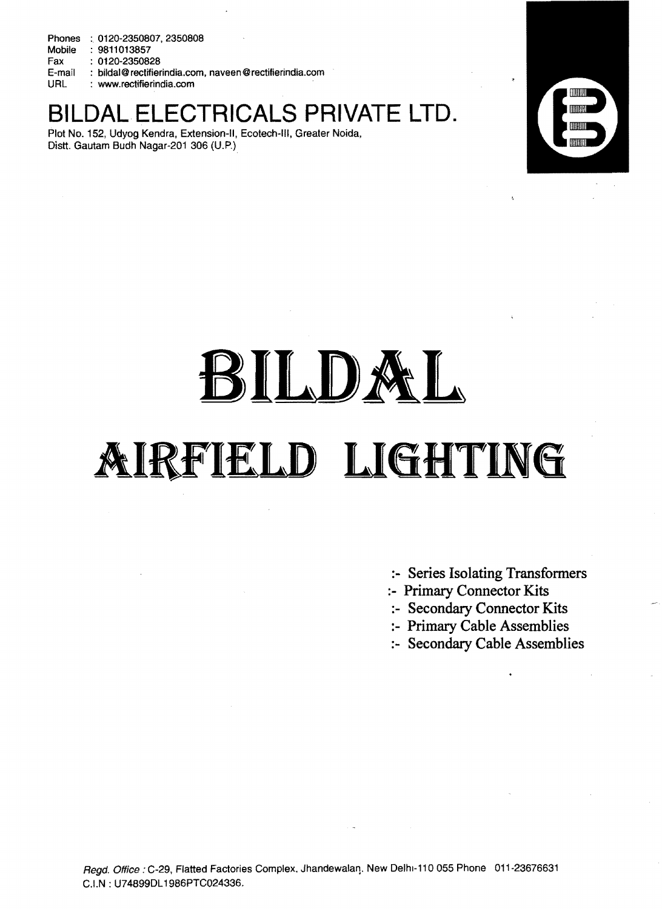Phones : 0120-2350807, 2350808 Mobile : 9811013857 Fax : 0120-2350828 E-mail : bildal@rectifierindia.com, naveen@rectifierindia.com : www.rectifierindia.com

## **BILDAL ELECTRICALS PRIVATE LTD.**

Plot No. 152, Udyog Kendra, Extension-II, Ecotech-III, Greater Noida, Distt. Gautam Budh Nagar-201 306 (U.P.)



# BILDAL **AIRFIELD LIGHTING**

- **:- Series Isolating Transformers**
- **:- Primary Connector Kits**
- **:- Secondary Connector Kits**
- **:- Primary Cable Assemblies**
- **:- Secondary Cable Assemblies**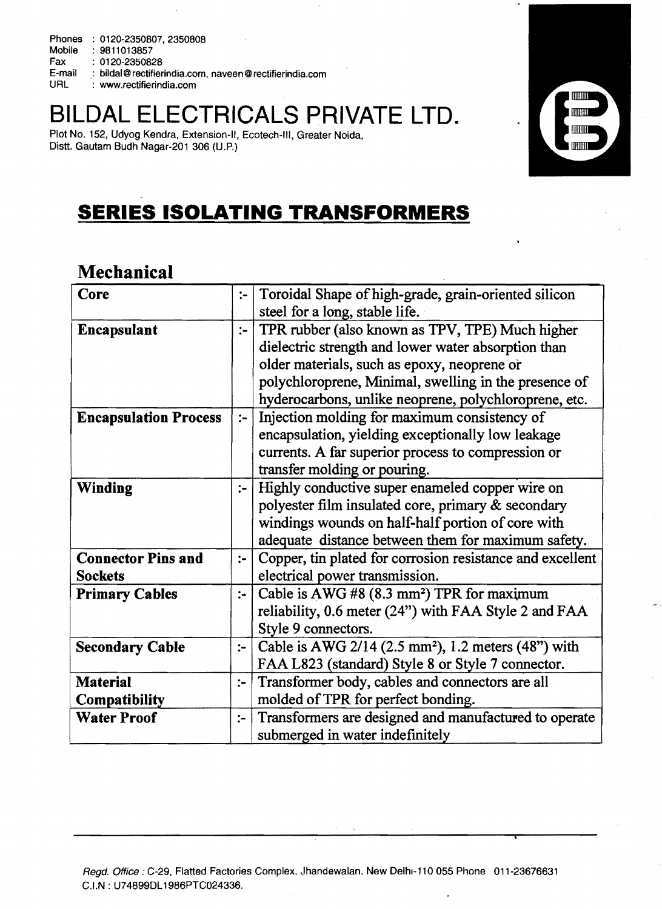Phones : 0120-2350807.2350808 Mobile : 9811013857 MODIE : 9811013857<br>Fax: : 0120-2350828 E-mail .:bildal@rectifierindia.com.naveen@rectifierindia.com URL : www.rectifierindia.com

# BILDAL ELECTRICALS PRIVATE LTD.

Plot No. 152, Udyog Kendra, Extension-II, Ecotech-III, Greater Noida, Distt. Gautam Budh Nagar-201 306 (U.P.)



## **SERIES ISOLATING TRANSFORMERS**

#### Mechanical

| Core                         | $\ddot{\cdot}$ | Toroidal Shape of high-grade, grain-oriented silicon              |  |  |  |  |  |  |
|------------------------------|----------------|-------------------------------------------------------------------|--|--|--|--|--|--|
|                              |                | steel for a long, stable life.                                    |  |  |  |  |  |  |
| Encapsulant                  | $\frac{1}{2}$  | TPR rubber (also known as TPV, TPE) Much higher                   |  |  |  |  |  |  |
|                              |                | dielectric strength and lower water absorption than               |  |  |  |  |  |  |
|                              |                | older materials, such as epoxy, neoprene or                       |  |  |  |  |  |  |
|                              |                | polychloroprene, Minimal, swelling in the presence of             |  |  |  |  |  |  |
|                              |                | hyderocarbons, unlike neoprene, polychloroprene, etc.             |  |  |  |  |  |  |
| <b>Encapsulation Process</b> | $\frac{1}{2}$  | Injection molding for maximum consistency of                      |  |  |  |  |  |  |
|                              |                | encapsulation, yielding exceptionally low leakage                 |  |  |  |  |  |  |
|                              |                | currents. A far superior process to compression or                |  |  |  |  |  |  |
|                              |                | transfer molding or pouring.                                      |  |  |  |  |  |  |
| Winding                      | $\div$         | Highly conductive super enameled copper wire on                   |  |  |  |  |  |  |
|                              |                | polyester film insulated core, primary & secondary                |  |  |  |  |  |  |
|                              |                | windings wounds on half-half portion of core with                 |  |  |  |  |  |  |
|                              |                | adequate distance between them for maximum safety.                |  |  |  |  |  |  |
| <b>Connector Pins and</b>    | $\cdot$        | Copper, tin plated for corrosion resistance and excellent         |  |  |  |  |  |  |
| <b>Sockets</b>               |                | electrical power transmission.                                    |  |  |  |  |  |  |
| <b>Primary Cables</b>        | $\ddot{ }$     | Cable is AWG $#8$ (8.3 mm <sup>2</sup> ) TPR for maximum          |  |  |  |  |  |  |
|                              |                | reliability, 0.6 meter (24") with FAA Style 2 and FAA             |  |  |  |  |  |  |
|                              |                | Style 9 connectors.                                               |  |  |  |  |  |  |
| <b>Secondary Cable</b>       | $\mathbf{L}$   | Cable is AWG $2/14$ (2.5 mm <sup>2</sup> ), 1.2 meters (48") with |  |  |  |  |  |  |
|                              |                | FAA L823 (standard) Style 8 or Style 7 connector.                 |  |  |  |  |  |  |
| <b>Material</b>              | $\ddot{ }$     | Transformer body, cables and connectors are all                   |  |  |  |  |  |  |
| Compatibility                |                | molded of TPR for perfect bonding.                                |  |  |  |  |  |  |
| <b>Water Proof</b>           | $\frac{1}{2}$  | Transformers are designed and manufactured to operate             |  |  |  |  |  |  |
|                              |                | submerged in water indefinitely                                   |  |  |  |  |  |  |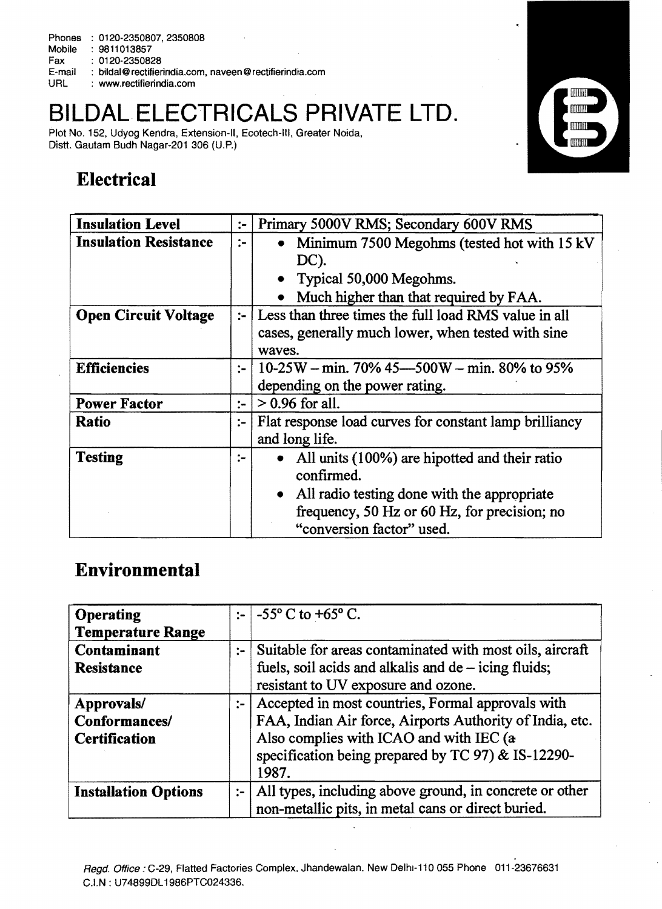Phones: 0120-2350807, 2350808<br>Mobile: 9811013857

Mobile : 9811013857<br>Fax : 0120-235082

Fax: 0120-2350828<br>E-mail: bildal@rectifier E-mail: bildal@rectifierindia.com, naveen@rectifierindia.com<br>URL: : www.rectifierindia.com

: www.rectifierindia.com

# BILDALELECTRICALS PRIVATE LTD.

Plot No. 152, Udyog Kendra, Extension-II, Ecotech-III, Greater Noida, Distt. Gautam Budh Nagar-201 306 (U.P.)



## Electrical

| <b>Insulation Level</b>      | $\frac{1}{2}$  | Primary 5000V RMS; Secondary 600V RMS                      |  |  |  |  |  |  |  |
|------------------------------|----------------|------------------------------------------------------------|--|--|--|--|--|--|--|
| <b>Insulation Resistance</b> | $:-$           | • Minimum 7500 Megohms (tested hot with 15 kV<br>DC).      |  |  |  |  |  |  |  |
|                              |                | • Typical 50,000 Megohms.                                  |  |  |  |  |  |  |  |
|                              |                | Much higher than that required by FAA.                     |  |  |  |  |  |  |  |
| <b>Open Circuit Voltage</b>  | $\cdot$ .      | Less than three times the full load RMS value in all       |  |  |  |  |  |  |  |
|                              |                | cases, generally much lower, when tested with sine         |  |  |  |  |  |  |  |
|                              |                | waves.                                                     |  |  |  |  |  |  |  |
| <b>Efficiencies</b>          | $\sim$         | $10-25W - min.70\%$ 45—500W - min. 80% to 95%              |  |  |  |  |  |  |  |
|                              |                | depending on the power rating.                             |  |  |  |  |  |  |  |
| <b>Power Factor</b>          | ÷              | $> 0.96$ for all.                                          |  |  |  |  |  |  |  |
| <b>Ratio</b>                 | $\mathbb{R}^2$ | Flat response load curves for constant lamp brilliancy     |  |  |  |  |  |  |  |
|                              |                | and long life.                                             |  |  |  |  |  |  |  |
| <b>Testing</b>               | $:-$           | All units (100%) are hipotted and their ratio<br>$\bullet$ |  |  |  |  |  |  |  |
|                              |                | confirmed.                                                 |  |  |  |  |  |  |  |
|                              |                | • All radio testing done with the appropriate              |  |  |  |  |  |  |  |
|                              |                | frequency, 50 Hz or 60 Hz, for precision; no               |  |  |  |  |  |  |  |
|                              |                | "conversion factor" used.                                  |  |  |  |  |  |  |  |

## Environmental

| Operating<br><b>Temperature Range</b> |          | :- $-55^{\circ}$ C to +65° C.                            |
|---------------------------------------|----------|----------------------------------------------------------|
| Contaminant                           |          | Suitable for areas contaminated with most oils, aircraft |
| <b>Resistance</b>                     |          | fuels, soil acids and alkalis and de – icing fluids;     |
|                                       |          | resistant to UV exposure and ozone.                      |
| Approvals/                            | $\sim$   | Accepted in most countries, Formal approvals with        |
| Conformances/                         |          | FAA, Indian Air force, Airports Authority of India, etc. |
| <b>Certification</b>                  |          | Also complies with ICAO and with IEC (a                  |
|                                       |          | specification being prepared by TC 97) & IS-12290-       |
|                                       |          | 1987.                                                    |
| <b>Installation Options</b>           | $\sim$ 1 | All types, including above ground, in concrete or other  |
|                                       |          | non-metallic pits, in metal cans or direct buried.       |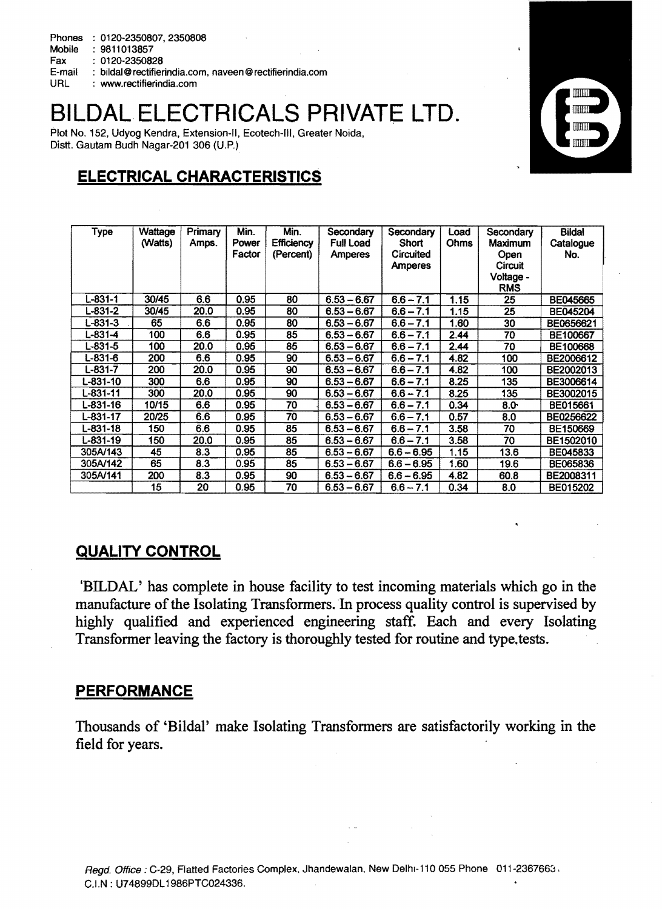Phones : 0120-2350807, 2350808

Mobile : 9811013857

Fax : 0120-2350828

E-mail : bildal@rectifierindia.com, naveen @rectifierindia.com

URL : www.rectifierindia.com

# **BILDAL ELECTRICALS PRIVATE LTD.**

Plot No. 152, Udyog Kendra, Extension-II, Ecotech-III, Greater Noida, Distt. Gautam Budh Nagar-201 306 (U.P.)



#### **ELECTRICAL CHARACTERISTICS**

| <b>Type</b>    | Wattage<br>(Watts) | Primary<br>Amps. | Min.<br>Power<br>Factor | Min.<br><b>Efficiency</b><br>(Percent) | Secondary<br><b>Full Load</b><br><b>Amperes</b> | Secondary<br>Short<br>Circuited<br><b>Amperes</b> | Load<br><b>Ohms</b> | Secondary<br>Maximum<br>Open<br>Circuit<br>Voltage -<br><b>RMS</b> | <b>Bildal</b><br>Catalogue<br>No. |
|----------------|--------------------|------------------|-------------------------|----------------------------------------|-------------------------------------------------|---------------------------------------------------|---------------------|--------------------------------------------------------------------|-----------------------------------|
| L-831-1        | 30/45              | 6.6              | 0.95                    | 80                                     | $6.53 - 6.67$                                   | $6.6 - 7.1$                                       | 1.15                | 25                                                                 | BE045665                          |
| L-831-2        | 30/45              | 20.0             | 0.95                    | 80                                     | $6.53 - 6.67$                                   | $6.6 - 7.1$                                       | 1.15                | 25                                                                 | BE045204                          |
| L-831-3        | 65                 | 6.6              | 0.95                    | 80                                     | $6.53 - 6.67$                                   | $6.6 - 7.1$                                       | 1.60                | 30                                                                 | BE0656621                         |
| L-831-4        | 100                | 6.6              | 0.95                    | 85                                     | $6.53 - 6.67$                                   | $6.6 - 7.1$                                       | 2.44                | 70                                                                 | BE100667                          |
| $L - 831 - 5$  | 100                | 20.0             | 0.95                    | 85                                     | $6.53 - 6.67$                                   | $6.6 - 7.1$                                       | 2.44                | 70                                                                 | BE100668                          |
| L-831-6        | 200                | 6.6              | 0.95                    | 90                                     | $6.53 - 6.67$                                   | $6.6 - 7.1$                                       | 4.82                | 100                                                                | BE2006612                         |
| L-831-7        | 200                | 20.0             | 0.95                    | 90                                     | $6.53 - 6.67$                                   | $6.6 - 7.1$                                       | 4.82                | 100                                                                | BE2002013                         |
| L-831-10       | 300                | 6.6              | 0.95                    | 90                                     | $6.53 - 6.67$                                   | $6.6 - 7.1$                                       | 8.25                | 135                                                                | BE3006614                         |
| L-831-11       | 300                | 20.0             | 0.95                    | 90                                     | $6.53 - 6.67$                                   | $6.6 - 7.1$                                       | 8.25                | 135                                                                | BE3002015                         |
| L-831-16       | 10/15              | 6.6              | 0.95                    | 70                                     | $6.53 - 6.67$                                   | $6.6 - 7.1$                                       | 0.34                | 8.0 <sub>1</sub>                                                   | BE015661                          |
| L-831-17       | 20/25              | 6.6              | 0.95                    | 70                                     | $6.53 - 6.67$                                   | $6.6 - 7.1$                                       | 0.57                | 8.0                                                                | BE0256622                         |
| $L - 831 - 18$ | 150                | 6.6              | 0.95                    | 85                                     | $6.53 - 6.67$                                   | $6.6 - 7.1$                                       | 3.58                | 70                                                                 | BE150669                          |
| $L-831-19$     | 150                | 20.0             | 0.95                    | 85                                     | $6.53 - 6.67$                                   | $6.6 - 7.1$                                       | 3.58                | 70                                                                 | BE1502010                         |
| 305A/143       | 45                 | 8.3              | 0.95                    | 85                                     | $6.53 - 6.67$                                   | $6.6 - 6.95$                                      | 1.15                | 13.6                                                               | BE045833                          |
| 305A/142       | 65                 | 8.3              | 0.95                    | 85                                     | $6.53 - 6.67$                                   | $6.6 - 6.95$                                      | 1.60                | 19.6                                                               | BE065836                          |
| 305A/141       | 200                | 8.3              | 0.95                    | 90                                     | $6.53 - 6.67$                                   | $6.6 - 6.95$                                      | 4.82                | 60.8                                                               | BE2008311                         |
|                | 15                 | 20               | 0.95                    | 70                                     | $6.53 - 6.67$                                   | $6.6 - 7.1$                                       | 0.34                | 8.0                                                                | BE015202                          |

#### **QUALITY CONTROL**

'BILDAL' has complete in house facility to test incoming materials which go in the manufacture of the Isolating Transformers. In process quality control is supervised by highly qualified and experienced engineering staff. Each and every Isolating Transformer leaving the factory is thoroughly tested for routine and type. tests.

#### **PERFORMANCE**

Thousands of 'Bildal' make Isolating Transformers are satisfactorily working in the field for years.